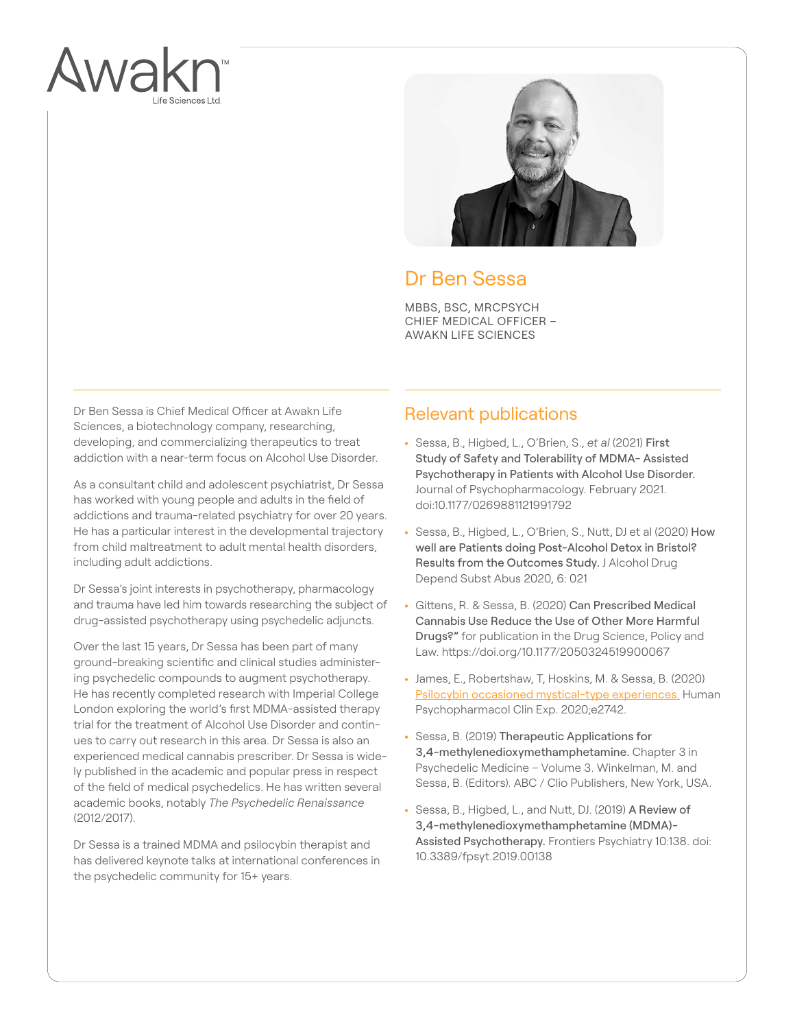



## Dr Ben Sessa

MBBS, BSC, MRCPSYCH CHIEF MEDICAL OFFICER – AWAKN LIFE SCIENCES

Dr Ben Sessa is Chief Medical Officer at Awakn Life Sciences, a biotechnology company, researching, developing, and commercializing therapeutics to treat addiction with a near-term focus on Alcohol Use Disorder.

As a consultant child and adolescent psychiatrist, Dr Sessa has worked with young people and adults in the field of addictions and trauma-related psychiatry for over 20 years. He has a particular interest in the developmental trajectory from child maltreatment to adult mental health disorders including adult addictions.

Dr Sessa's joint interests in psychotherapy, pharmacology and trauma have led him towards researching the subject of drug-assisted psychotherapy using psychedelic adjuncts.

Over the last 15 years, Dr Sessa has been part of many ground-breaking scientific and clinical studies administering psychedelic compounds to augment psychotherapy. He has recently completed research with Imperial College London exploring the world's first MDMA-assisted therapy trial for the treatment of Alcohol Use Disorder and continues to carry out research in this area. Dr Sessa is also an experienced medical cannabis prescriber. Dr Sessa is widely published in the academic and popular press in respect of the field of medical psychedelics. He has written several academic books, notably *The Psychedelic Renaissance* (2012/2017).

Dr Sessa is a trained MDMA and psilocybin therapist and has delivered keynote talks at international conferences in the psychedelic community for 15+ years.

## Relevant publications

- **•** Sessa, B., Higbed, L., O'Brien, S., *et al* (2021) First Study of Safety and Tolerability of MDMA- Assisted Psychotherapy in Patients with Alcohol Use Disorder. Journal of Psychopharmacology. February 2021. doi:10.1177/0269881121991792
- Sessa, B., Higbed, L., O'Brien, S., Nutt, DJ et al (2020) How well are Patients doing Post-Alcohol Detox in Bristol? Results from the Outcomes Study. J Alcohol Drug Depend Subst Abus 2020, 6: 021
- Gittens, R. & Sessa, B. (2020) Can Prescribed Medical Cannabis Use Reduce the Use of Other More Harmful Drugs?" for publication in the Drug Science, Policy and Law. https://doi.org/10.1177/2050324519900067
- James, E., Robertshaw, T, Hoskins, M. & Sessa, B. (2020) [Psilocybin occasioned mystical-type experiences.](https://onlinelibrary.wiley.com/action/showCitFormats?doi=10.1002%2Fhup.2742) Human Psychopharmacol Clin Exp. 2020;e2742.
- **•** Sessa, B. (2019) Therapeutic Applications for 3,4-methylenedioxymethamphetamine. Chapter 3 in Psychedelic Medicine – Volume 3. Winkelman, M. and Sessa, B. (Editors). ABC / Clio Publishers, New York, USA.
- Sessa, B., Higbed, L., and Nutt, DJ. (2019) A Review of 3,4-methylenedioxymethamphetamine (MDMA)- Assisted Psychotherapy. Frontiers Psychiatry 10:138. doi: 10.3389/fpsyt.2019.00138